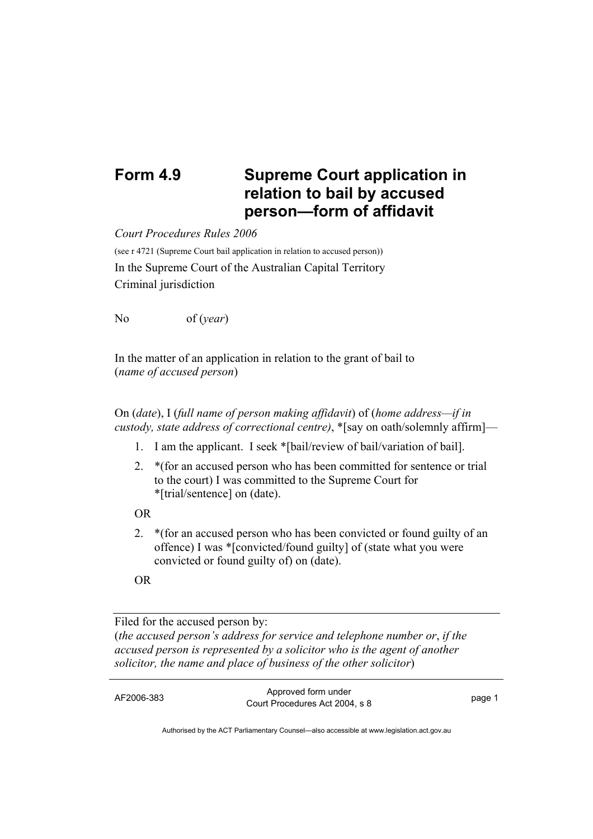## **Form 4.9 Supreme Court application in relation to bail by accused person—form of affidavit**

*Court Procedures Rules 2006*

(see r 4721 (Supreme Court bail application in relation to accused person)) In the Supreme Court of the Australian Capital Territory Criminal jurisdiction

No of (*year*)

In the matter of an application in relation to the grant of bail to (*name of accused person*)

On (*date*), I (*full name of person making affidavit*) of (*home address—if in custody, state address of correctional centre)*, \*[say on oath/solemnly affirm]—

- 1. I am the applicant. I seek \*[bail/review of bail/variation of bail].
- 2. \*(for an accused person who has been committed for sentence or trial to the court) I was committed to the Supreme Court for \*[trial/sentence] on (date).

OR

2. \*(for an accused person who has been convicted or found guilty of an offence) I was \*[convicted/found guilty] of (state what you were convicted or found guilty of) on (date).

OR

Filed for the accused person by: (*the accused person's address for service and telephone number or*, *if the accused person is represented by a solicitor who is the agent of another solicitor, the name and place of business of the other solicitor*)

AF2006-383 Approved form under Procedures Act 2004, s 8 page 1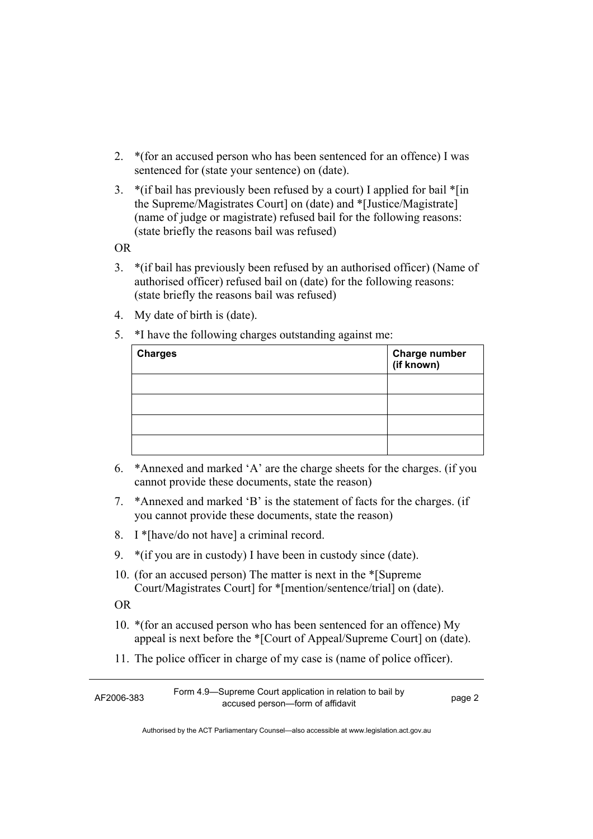- 2. \*(for an accused person who has been sentenced for an offence) I was sentenced for (state your sentence) on (date).
- 3. \*(if bail has previously been refused by a court) I applied for bail \*[in the Supreme/Magistrates Court] on (date) and \*[Justice/Magistrate] (name of judge or magistrate) refused bail for the following reasons: (state briefly the reasons bail was refused)

OR

- 3. \*(if bail has previously been refused by an authorised officer) (Name of authorised officer) refused bail on (date) for the following reasons: (state briefly the reasons bail was refused)
- 4. My date of birth is (date).
- 5. \*I have the following charges outstanding against me:

| <b>Charges</b> | Charge number<br>(if known) |
|----------------|-----------------------------|
|                |                             |
|                |                             |
|                |                             |
|                |                             |

- 6. \*Annexed and marked 'A' are the charge sheets for the charges. (if you cannot provide these documents, state the reason)
- 7. \*Annexed and marked 'B' is the statement of facts for the charges. (if you cannot provide these documents, state the reason)
- 8. I \*[have/do not have] a criminal record.
- 9. \*(if you are in custody) I have been in custody since (date).
- 10. (for an accused person) The matter is next in the \*[Supreme Court/Magistrates Court] for \*[mention/sentence/trial] on (date).
- OR
- 10. \*(for an accused person who has been sentenced for an offence) My appeal is next before the \*[Court of Appeal/Supreme Court] on (date).
- 11. The police officer in charge of my case is (name of police officer).

| AF2006-383 | Form 4.9—Supreme Court application in relation to bail by |        |
|------------|-----------------------------------------------------------|--------|
|            | accused person—form of affidavit                          | page 2 |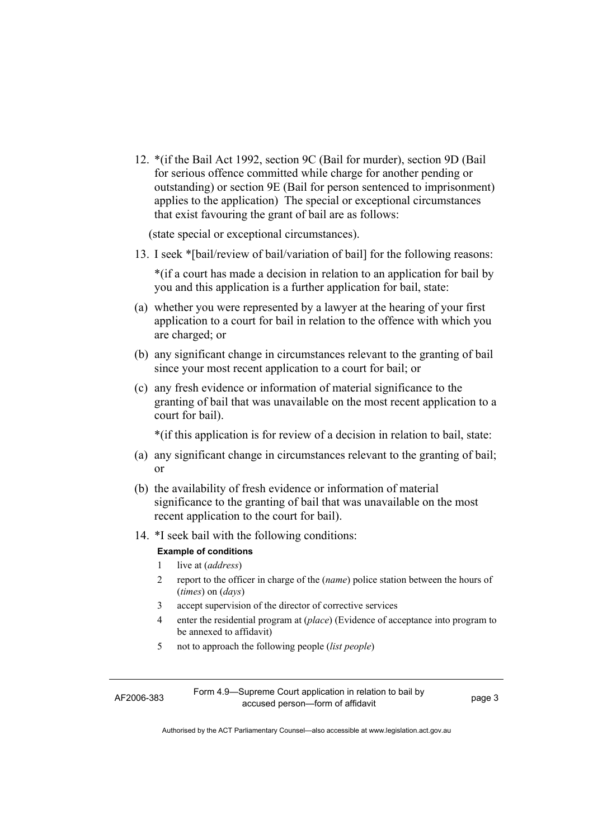12. \*(if the Bail Act 1992, section 9C (Bail for murder), section 9D (Bail for serious offence committed while charge for another pending or outstanding) or section 9E (Bail for person sentenced to imprisonment) applies to the application) The special or exceptional circumstances that exist favouring the grant of bail are as follows:

(state special or exceptional circumstances).

13. I seek \*[bail/review of bail/variation of bail] for the following reasons:

\*(if a court has made a decision in relation to an application for bail by you and this application is a further application for bail, state:

- (a) whether you were represented by a lawyer at the hearing of your first application to a court for bail in relation to the offence with which you are charged; or
- (b) any significant change in circumstances relevant to the granting of bail since your most recent application to a court for bail; or
- (c) any fresh evidence or information of material significance to the granting of bail that was unavailable on the most recent application to a court for bail).

\*(if this application is for review of a decision in relation to bail, state:

- (a) any significant change in circumstances relevant to the granting of bail; or
- (b) the availability of fresh evidence or information of material significance to the granting of bail that was unavailable on the most recent application to the court for bail).
- 14. \*I seek bail with the following conditions:

## **Example of conditions**

- 1 live at (*address*)
- 2 report to the officer in charge of the (*name*) police station between the hours of (*times*) on (*days*)
- 3 accept supervision of the director of corrective services
- 4 enter the residential program at (*place*) (Evidence of acceptance into program to be annexed to affidavit)
- 5 not to approach the following people (*list people*)

AF2006-383 Form 4.9—Supreme Court application in relation to bail by accused person—form of affidavit